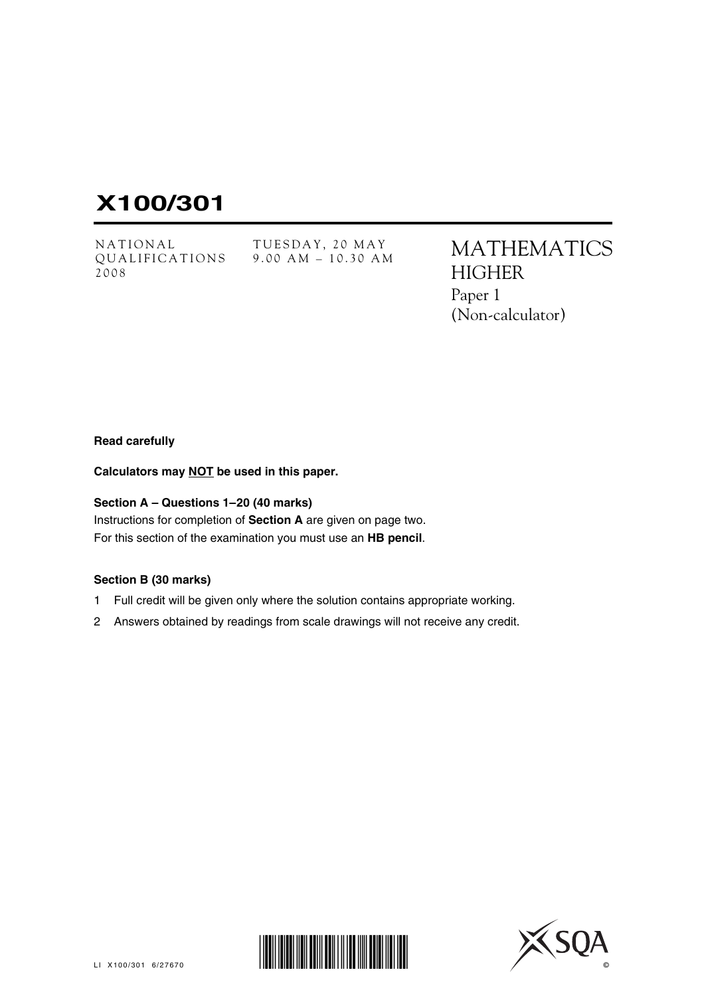# **X100/301**

NATIONAL TUESDAY, 20 MAY<br>
OUALIFICATIONS 9.00 AM - 10.30 AM 2008

 $9.00$  AM – 10.30 AM

MATHEMATICS **HIGHER** Paper 1 (Non-calculator)

#### **Read carefully**

**Calculators may NOT be used in this paper.**

# **Section A – Questions 1–20 (40 marks)**

Instructions for completion of **Section A** are given on page two. For this section of the examination you must use an **HB pencil**.

#### **Section B (30 marks)**

- 1 Full credit will be given only where the solution contains appropriate working.
- 2 Answers obtained by readings from scale drawings will not receive any credit.



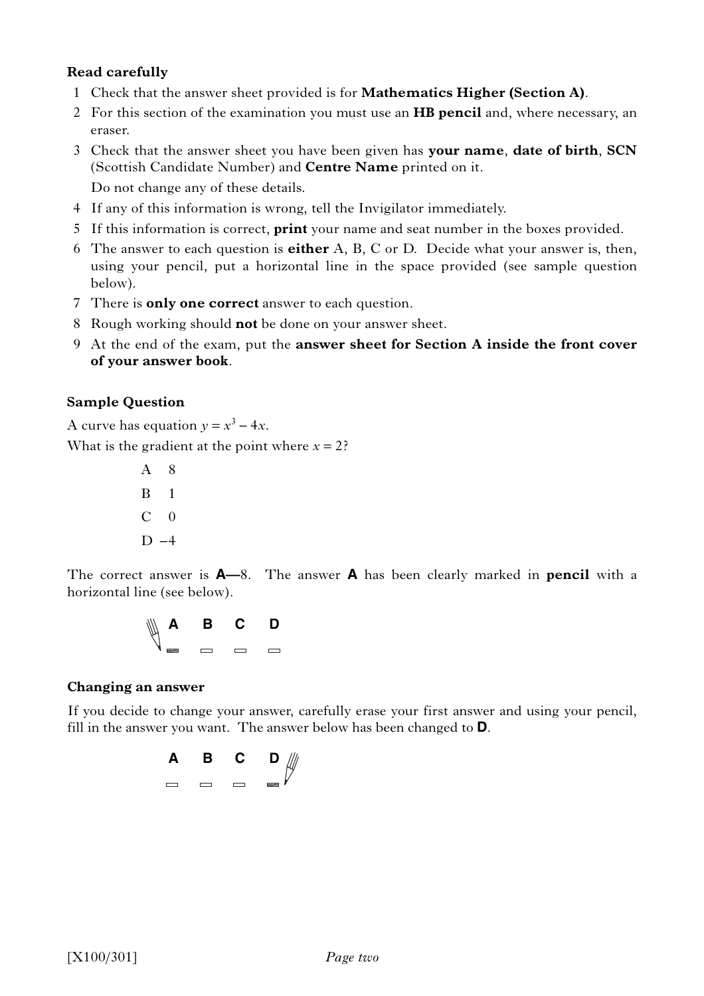# **Read carefully**

- 1 Check that the answer sheet provided is for **Mathematics Higher (Section A)**.
- 2 For this section of the examination you must use an **HB pencil** and, where necessary, an eraser.
- 3 Check that the answer sheet you have been given has **your name**, **date of birth**, **SCN** (Scottish Candidate Number) and **Centre Name** printed on it. Do not change any of these details.
- 4 If any of this information is wrong, tell the Invigilator immediately.
- 5 If this information is correct, **print** your name and seat number in the boxes provided.
- 6 The answer to each question is **either** A, B, C or D. Decide what your answer is, then, using your pencil, put a horizontal line in the space provided (see sample question below).
- 7 There is **only one correct** answer to each question.
- 8 Rough working should **not** be done on your answer sheet.
- 9 At the end of the exam, put the **answer sheet for Section A inside the front cover of your answer book**.

# **Sample Question**

A curve has equation  $y = x^3 - 4x$ .

What is the gradient at the point where  $x = 2$ ?

A 8 B 1  $C = 0$  $D -4$ 

The correct answer is **A—**8. The answer **A** has been clearly marked in **pencil** with a horizontal line (see below).



# **Changing an answer**

If you decide to change your answer, carefully erase your first answer and using your pencil, fill in the answer you want. The answer below has been changed to **D**.

$$
\begin{array}{ccccccccc}\nA & B & C & D & \mathbb{I} \\
\hline\nC & \mathbb{I} & \mathbb{I} & \mathbb{I}\n\end{array}
$$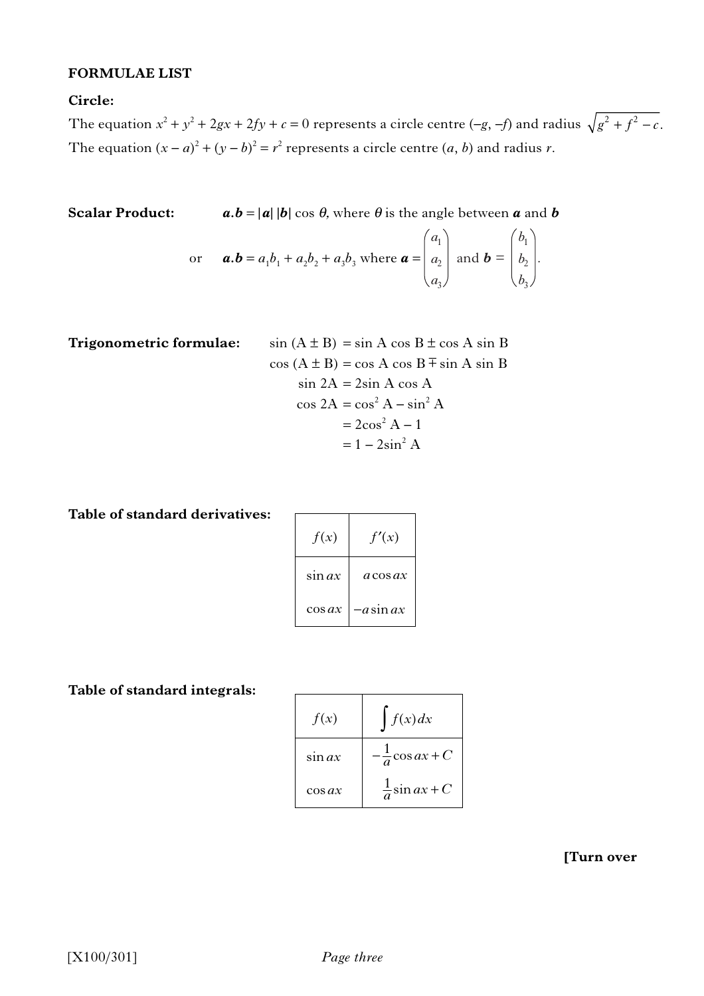### **FORMULAE LIST**

# **Circle:**

The equation  $x^2 + y^2 + 2gx + 2fy + c = 0$  represents a circle centre  $(-g, -f)$  and radius  $\sqrt{g^2 + f^2 - c}$ . The equation  $(x - a)^2 + (y - b)^2 = r^2$  represents a circle centre  $(a, b)$  and radius *r*.

**Scalar Product:**  $\mathbf{a} \cdot \mathbf{b} = |\mathbf{a}| |\mathbf{b}| \cos \theta$ , where  $\theta$  is the angle between  $\mathbf{a}$  and  $\mathbf{b}$ 

or 
$$
\boldsymbol{a}.\boldsymbol{b} = a_1b_1 + a_2b_2 + a_3b_3
$$
 where  $\boldsymbol{a} = \begin{pmatrix} a_1 \\ a_2 \\ a_3 \end{pmatrix}$  and  $\boldsymbol{b} = \begin{pmatrix} b_1 \\ b_2 \\ b_3 \end{pmatrix}$ .

**Trigonometric formulae:**  
\n
$$
\sin (A \pm B) = \sin A \cos B \pm \cos A \sin B
$$
\n
$$
\cos (A \pm B) = \cos A \cos B \mp \sin A \sin B
$$
\n
$$
\sin 2A = 2\sin A \cos A
$$
\n
$$
\cos 2A = \cos^2 A - \sin^2 A
$$
\n
$$
= 2\cos^2 A - 1
$$
\n
$$
= 1 - 2\sin^2 A
$$

**Table of standard derivatives:**

| f(x)      | f'(x)         |
|-----------|---------------|
| sin ax    | a cos ax      |
| $\cos ax$ | $-a$ sin $ax$ |

**Table of standard integrals:**

| f(x)      | f(x) dx                   |
|-----------|---------------------------|
| sin $ax$  | $-\frac{1}{a}\cos ax + C$ |
| $\cos ax$ | $\frac{1}{a}\sin ax + C$  |

**[Turn over**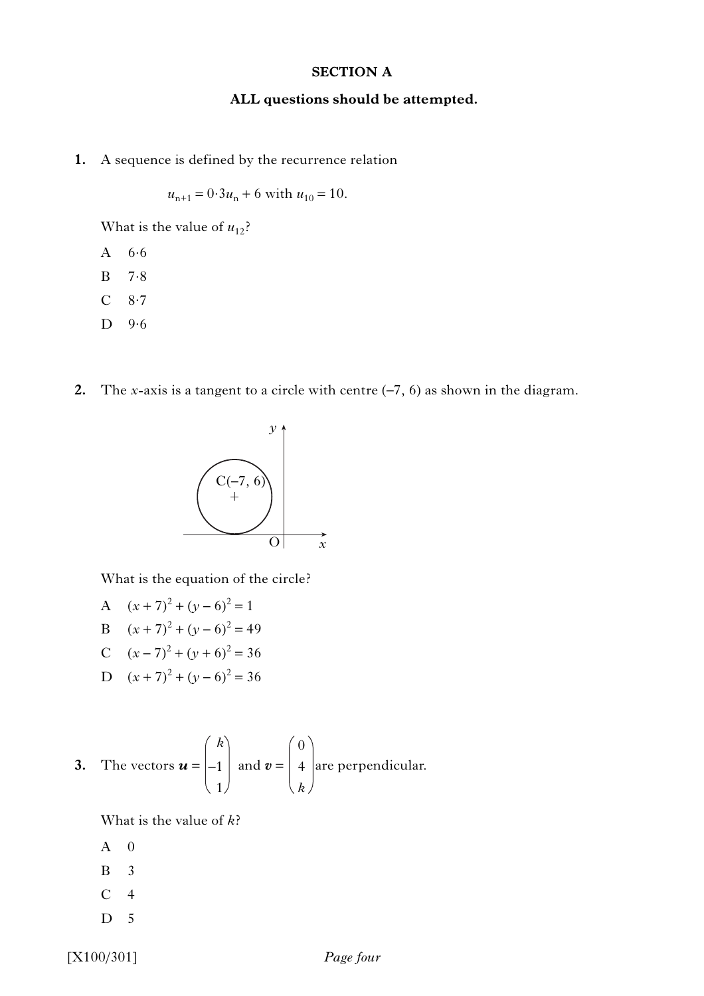# **SECTION A**

#### **ALL questions should be attempted.**

**1.** A sequence is defined by the recurrence relation

 $u_{n+1} = 0.3u_n + 6$  with  $u_{10} = 10$ .

What is the value of  $u_{12}$ ?

- A 6.6
- B 7.8
- C 8.7
- D 9.6
- **2.** The *x*-axis is a tangent to a circle with centre  $(-7, 6)$  as shown in the diagram.



What is the equation of the circle?

A 
$$
(x+7)^2 + (y-6)^2 = 1
$$

- B  $(x+7)^2 + (y-6)^2 = 49$
- C  $(x-7)^2 + (y+6)^2 = 36$
- D  $(x+7)^2 + (y-6)^2 = 36$

3. The vectors 
$$
\boldsymbol{u} = \begin{pmatrix} k \\ -1 \\ 1 \end{pmatrix}
$$
 and  $\boldsymbol{v} = \begin{pmatrix} 0 \\ 4 \\ k \end{pmatrix}$  are perpendicular.

What is the value of *k*?

- A 0
- B 3
- $C \quad 4$
- D 5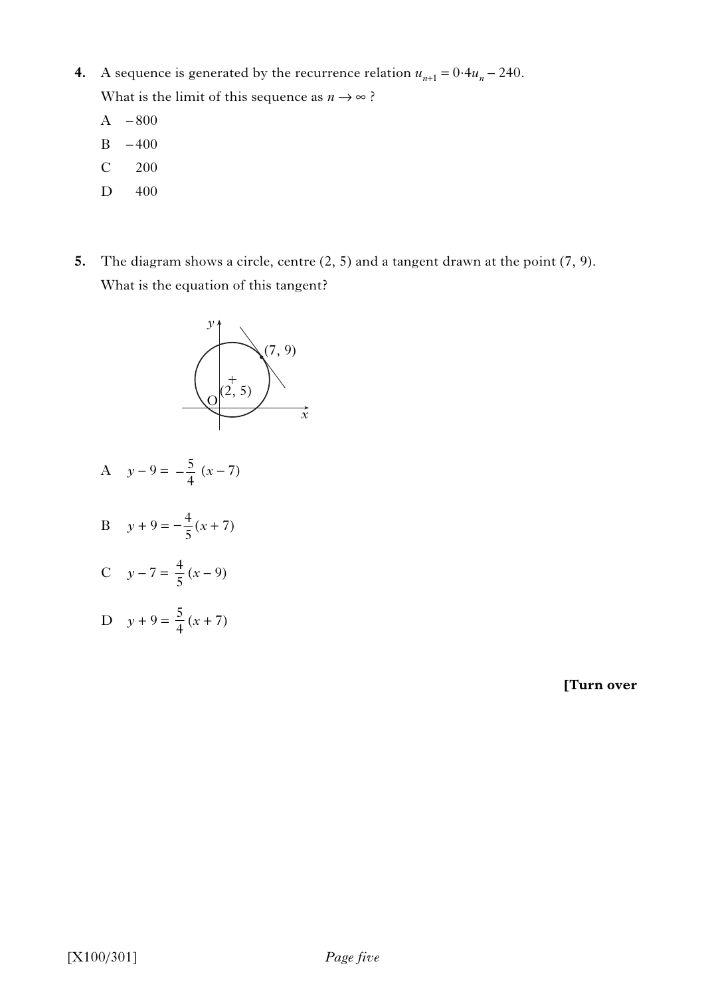**4.** A sequence is generated by the recurrence relation  $u_{n+1} = 0.4u_n - 240$ . What is the limit of this sequence as  $n \to \infty$ ?

A – 800

- B 400
- C 200
- D 400
- **5.** The diagram shows a circle, centre (2, 5) and a tangent drawn at the point (7, 9). What is the equation of this tangent?



A 
$$
y-9=-\frac{5}{4}(x-7)
$$

B 
$$
y + 9 = -\frac{4}{5}(x + 7)
$$

C 
$$
y-7 = \frac{4}{5}(x-9)
$$

D 
$$
y + 9 = \frac{5}{4}(x + 7)
$$

**[Turn over**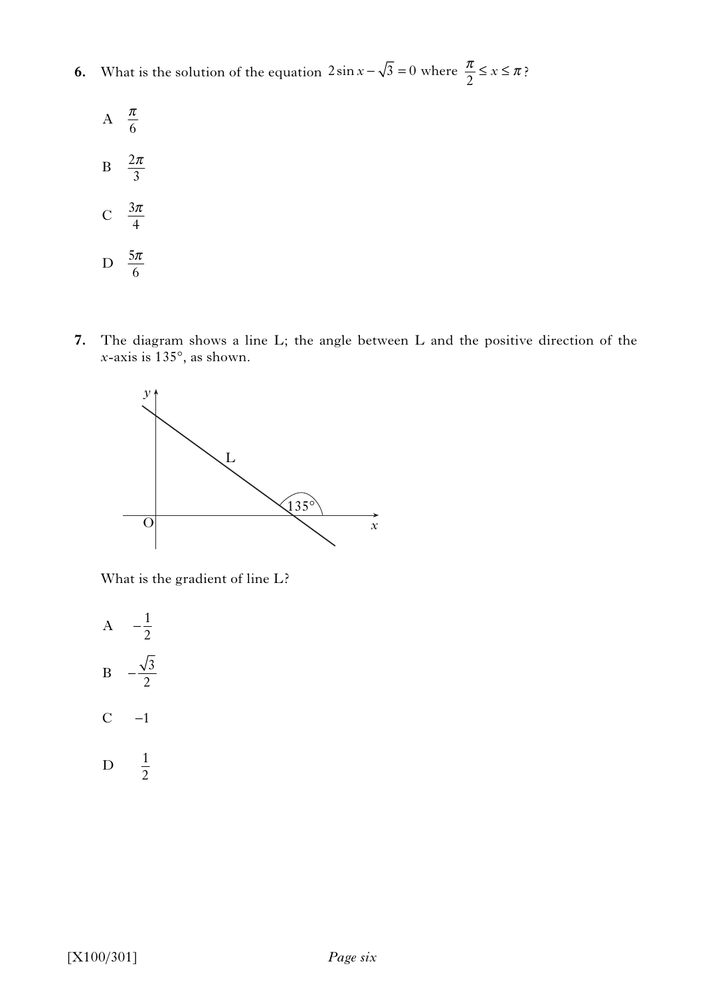**6.** What is the solution of the equation  $2\sin x - \sqrt{3} = 0$  where  $\frac{\pi}{2} \le x \le \pi$ ?

A 
$$
\frac{\pi}{6}
$$
  
B  $\frac{2\pi}{3}$   
C  $\frac{3\pi}{4}$   
D  $\frac{5\pi}{6}$ 

**7.** The diagram shows a line L; the angle between L and the positive direction of the *x*-axis is 135°, as shown.



What is the gradient of line L?

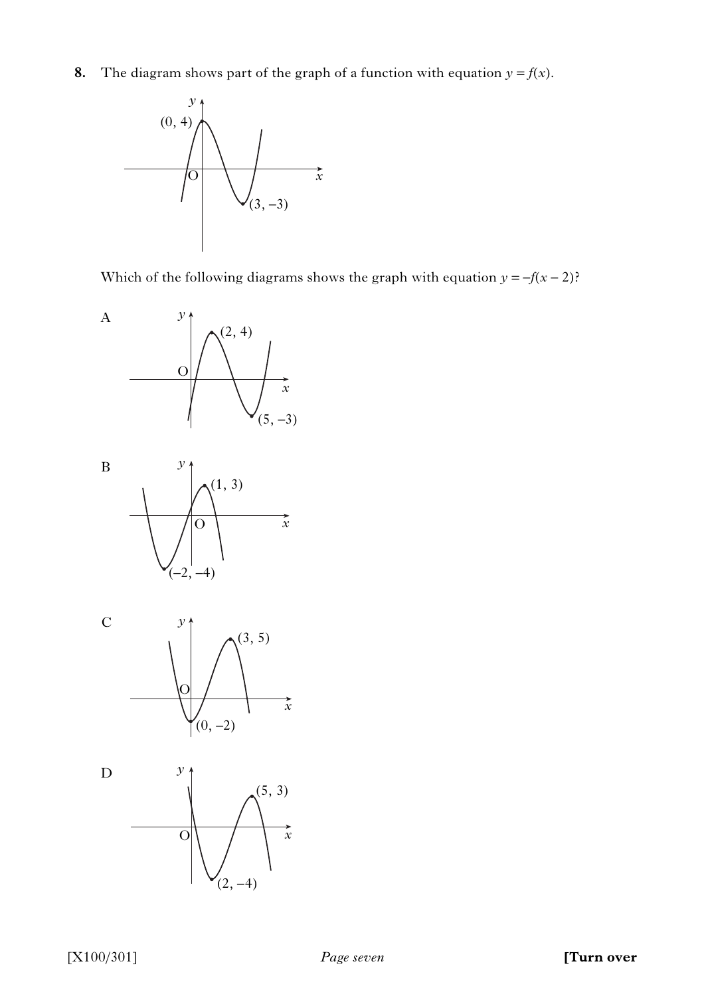**8.** The diagram shows part of the graph of a function with equation  $y = f(x)$ .



Which of the following diagrams shows the graph with equation  $y = -f(x - 2)$ ?

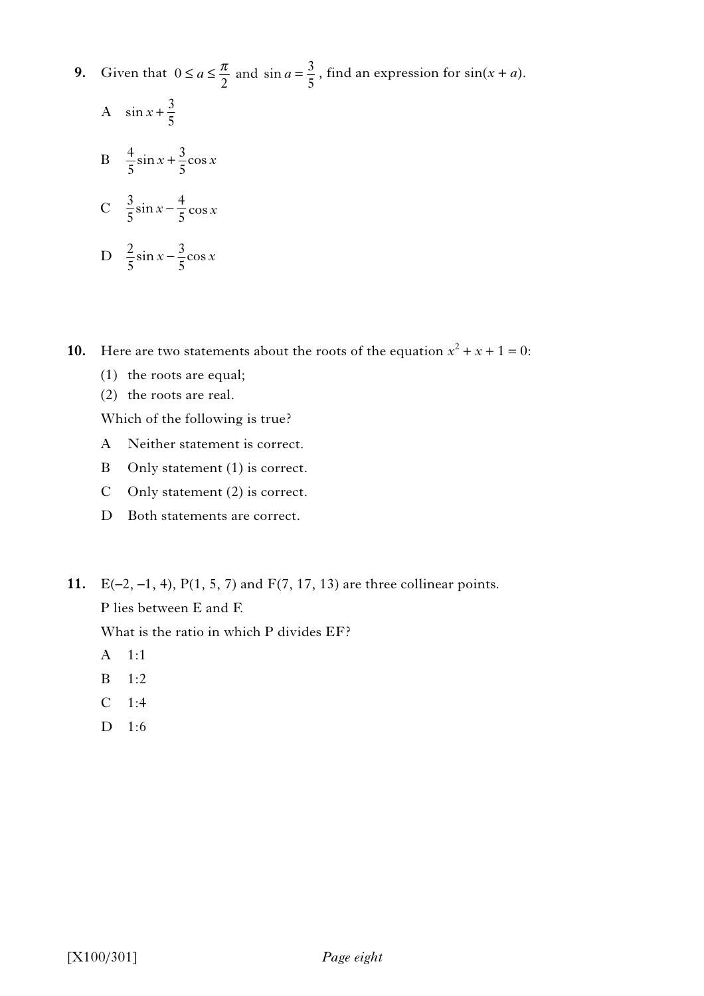- **9.** Given that  $0 \le a \le \frac{\pi}{2}$  and  $\sin a = \frac{3}{5}$ , find an expression for  $\sin(x + a)$ .
	- A  $\sin x + \frac{3}{5}$ B  $\frac{4}{5}$ sin x +  $\frac{3}{5}$ cos x
	- $C \frac{3}{5} \sin x \frac{4}{5} \cos x$
	- D  $\frac{2}{5}$ sin x  $\frac{3}{5}$ cos x
- **10.** Here are two statements about the roots of the equation  $x^2 + x + 1 = 0$ :
	- (1) the roots are equal;
	- (2) the roots are real.
	- Which of the following is true?
	- A Neither statement is correct.
	- B Only statement (1) is correct.
	- C Only statement (2) is correct.
	- D Both statements are correct.
- **11.** E(–2, –1, 4), P(1, 5, 7) and F(7, 17, 13) are three collinear points.
	- P lies between E and F.

What is the ratio in which P divides EF?

- A 1:1
- B 1:2
- C 1:4
- D 1:6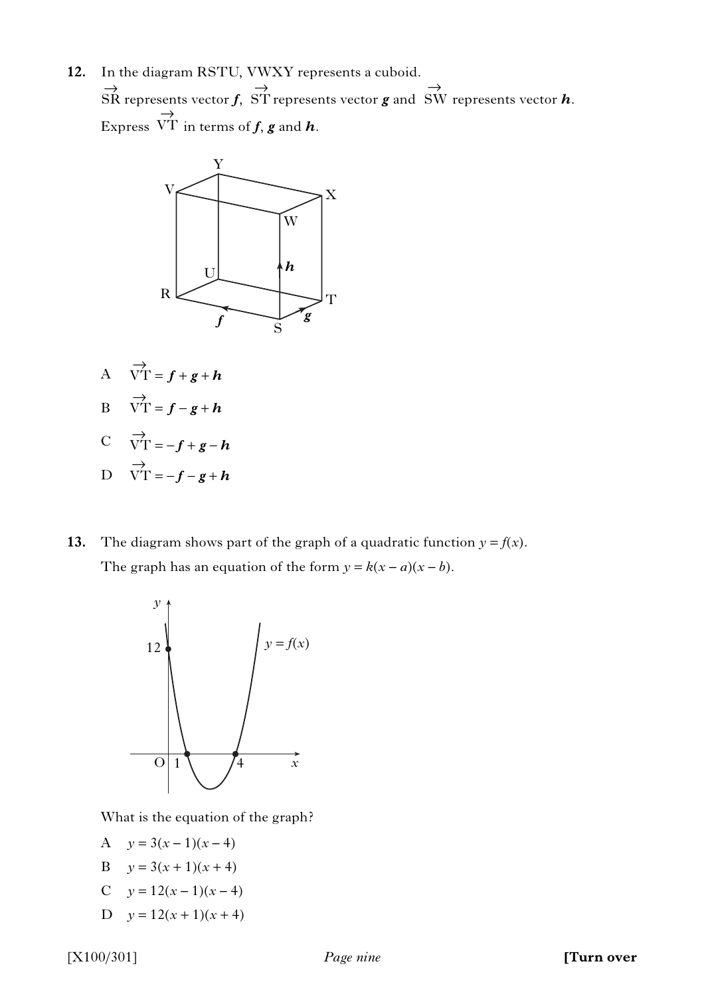**12.** In the diagram RSTU, VWXY represents a cuboid.  $\overrightarrow{BR}$  represents vector *f*, ST represents vector *g* and SW represents vector *h*. Express VT in terms of  $f$ ,  $g$  and  $h$ .  $\rightarrow$ 



$$
A \quad \overrightarrow{VT} = f + g + h
$$

B 
$$
\overrightarrow{VT} = f - g + h
$$

$$
C \qquad \overrightarrow{VT} = -f + g - h
$$

D 
$$
\overrightarrow{VT} = -f - g + h
$$

**13.** The diagram shows part of the graph of a quadratic function  $y = f(x)$ . The graph has an equation of the form  $y = k(x - a)(x - b)$ .



What is the equation of the graph?

- A  $y = 3(x-1)(x-4)$
- B  $y = 3(x + 1)(x + 4)$
- C  $y = 12(x 1)(x 4)$
- D  $y = 12(x+1)(x+4)$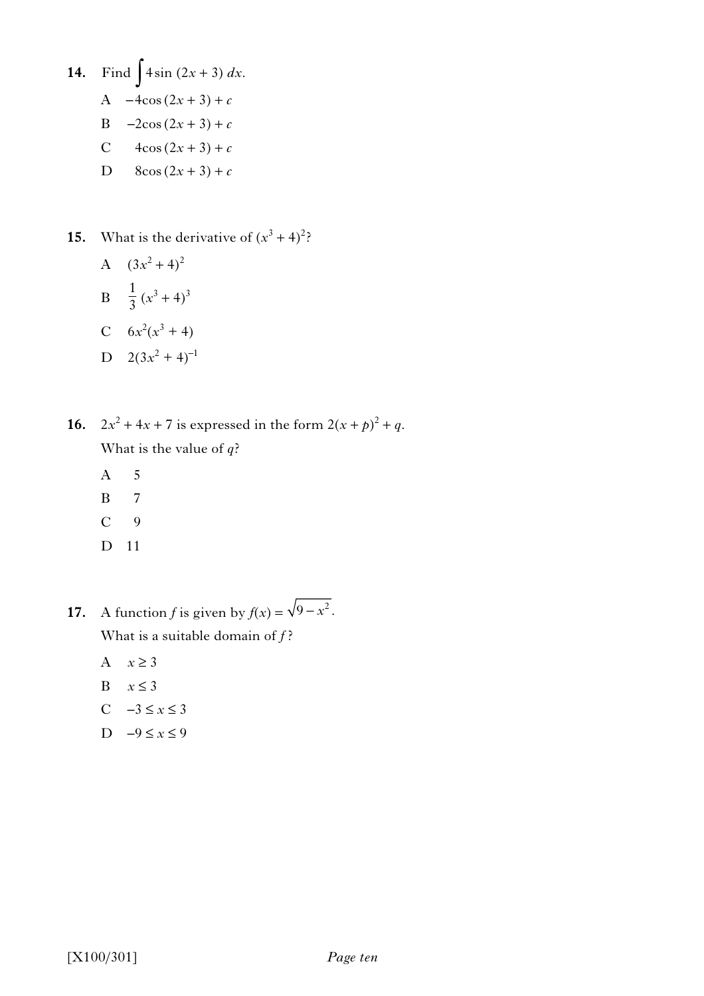- **14.** Find  $\int 4 \sin (2x + 3) dx$ .
	- A  $-4\cos(2x+3) + c$
	- B  $-2\cos(2x+3)+c$
	- C  $4\cos(2x+3) + c$
	- D  $8\cos(2x+3) + c$
- **15.** What is the derivative of  $(x^3 + 4)^2$ ?
	- A  $(3x^2+4)^2$
	- B  $\frac{1}{2} (x^3 + 4)^3$ 3
	- C  $6x^2(x^3 + 4)$
	- D  $2(3x^2+4)^{-1}$

**16.**  $2x^2 + 4x + 7$  is expressed in the form  $2(x + p)^2 + q$ . What is the value of *q*?

- A 5
- B 7
- C 9
- D 11

**17.** A function *f* is given by  $f(x) = \sqrt{9-x^2}$ . What is a suitable domain of *f* ?

- A  $x \ge 3$
- B  $x \leq 3$
- C  $-3 \le x \le 3$
- D  $-9 \le x \le 9$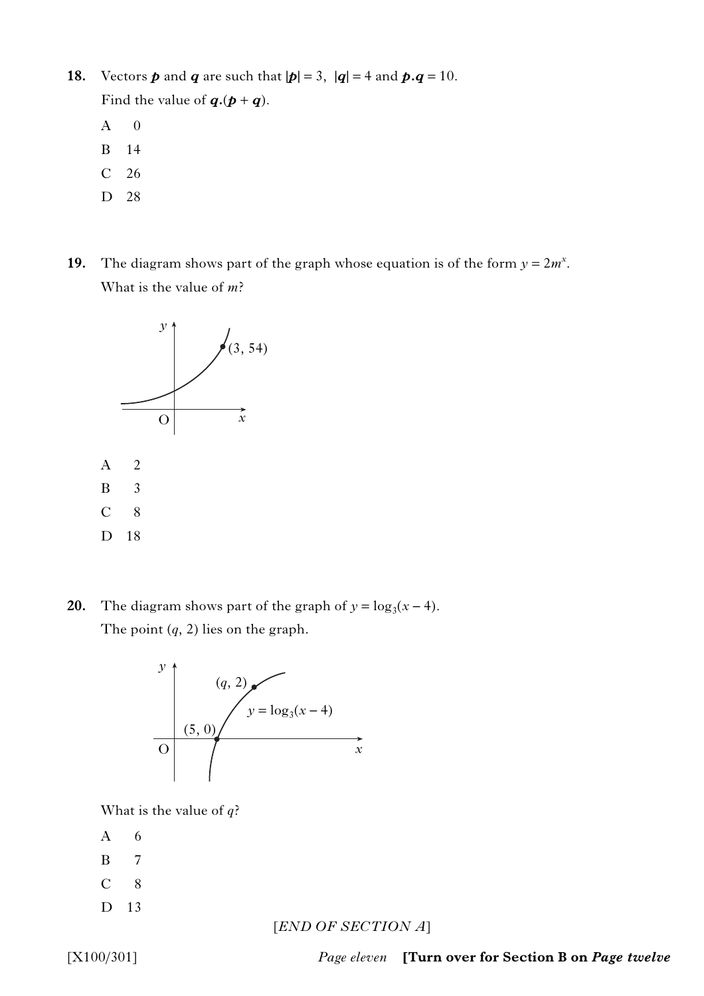- **18.** Vectors *p* and *q* are such that  $|p| = 3$ ,  $|q| = 4$  and  $p \cdot q = 10$ . Find the value of  $q.(p + q)$ .
	- A 0
	- B 14
	- C 26
	- D 28
- **19.** The diagram shows part of the graph whose equation is of the form  $y = 2m^x$ . What is the value of *m*?



**20.** The diagram shows part of the graph of  $y = log_3(x - 4)$ . The point  $(q, 2)$  lies on the graph.



What is the value of *q*?

- A 6
- B 7
- C 8
- D 13

# [*END OF SECTION A*]